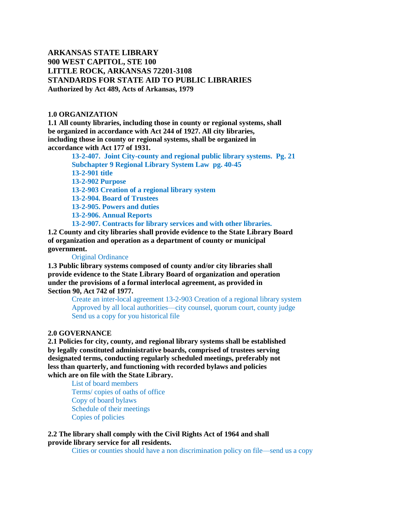# **ARKANSAS STATE LIBRARY 900 WEST CAPITOL, STE 100 LITTLE ROCK, ARKANSAS 72201-3108 STANDARDS FOR STATE AID TO PUBLIC LIBRARIES Authorized by Act 489, Acts of Arkansas, 1979**

#### **1.0 ORGANIZATION**

**1.1 All county libraries, including those in county or regional systems, shall be organized in accordance with Act 244 of 1927. All city libraries, including those in county or regional systems, shall be organized in accordance with Act 177 of 1931.**

**13-2-407. Joint City-county and regional public library systems. Pg. 21 Subchapter 9 Regional Library System Law pg. 40-45 13-2-901 title 13-2-902 Purpose 13-2-903 Creation of a regional library system 13-2-904. Board of Trustees 13-2-905. Powers and duties 13-2-906. Annual Reports 13-2-907. Contracts for library services and with other libraries.**

**1.2 County and city libraries shall provide evidence to the State Library Board of organization and operation as a department of county or municipal government.**

#### Original Ordinance

**1.3 Public library systems composed of county and/or city libraries shall provide evidence to the State Library Board of organization and operation under the provisions of a formal interlocal agreement, as provided in Section 90, Act 742 of 1977.**

> Create an inter-local agreement 13-2-903 Creation of a regional library system Approved by all local authorities—city counsel, quorum court, county judge Send us a copy for you historical file

### **2.0 GOVERNANCE**

**2.1 Policies for city, county, and regional library systems shall be established by legally constituted administrative boards, comprised of trustees serving designated terms, conducting regularly scheduled meetings, preferably not less than quarterly, and functioning with recorded bylaws and policies which are on file with the State Library.**

List of board members Terms/ copies of oaths of office Copy of board bylaws Schedule of their meetings Copies of policies

**2.2 The library shall comply with the Civil Rights Act of 1964 and shall provide library service for all residents.**

Cities or counties should have a non discrimination policy on file—send us a copy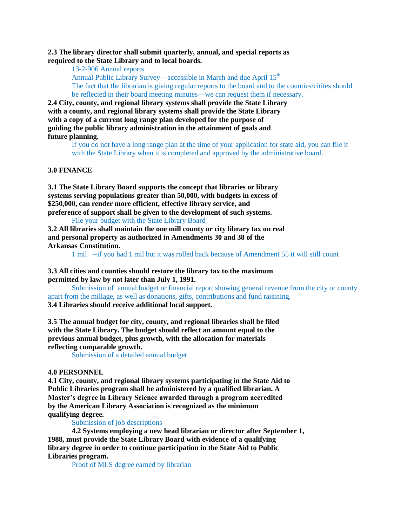**2.3 The library director shall submit quarterly, annual, and special reports as required to the State Library and to local boards.**

13-2-906 Annual reports

Annual Public Library Survey—accessible in March and due April 15<sup>th</sup>

The fact that the librarian is giving regular reports to the board and to the counties/citites should be reflected in their board meeting minutes—we can request them if necessary.

**2.4 City, county, and regional library systems shall provide the State Library with a county, and regional library systems shall provide the State Library with a copy of a current long range plan developed for the purpose of guiding the public library administration in the attainment of goals and future planning.**

> If you do not have a long range plan at the time of your application for state aid, you can file it with the State Library when it is completed and approved by the administrative board.

#### **3.0 FINANCE**

**3.1 The State Library Board supports the concept that libraries or library systems serving populations greater than 50,000, with budgets in excess of \$250,000, can render more efficient, effective library service, and preference of support shall be given to the development of such systems.** File your budget with the State Library Board

**3.2 All libraries shall maintain the one mill county or city library tax on real and personal property as authorized in Amendments 30 and 38 of the Arkansas Constitution.**

1 mil --if you had 1 mil but it was rolled back because of Amendment 55 it will still count

**3.3 All cities and counties should restore the library tax to the maximum permitted by law by not later than July 1, 1991.**

Submission of annual budget or financial report showing general revenue from the city or county apart from the millage, as well as donations, gifts, contributions and fund raisining.

**3.4 Libraries should receive additional local support.**

**3.5 The annual budget for city, county, and regional libraries shall be filed with the State Library. The budget should reflect an amount equal to the previous annual budget, plus growth, with the allocation for materials reflecting comparable growth.**

Submission of a detailed annual budget

#### **4.0 PERSONNEL**

**4.1 City, county, and regional library systems participating in the State Aid to Public Libraries program shall be administered by a qualified librarian. A Master's degree in Library Science awarded through a program accredited by the American Library Association is recognized as the minimum qualifying degree.**

Submission of job descriptions

**4.2 Systems employing a new head librarian or director after September 1, 1988, must provide the State Library Board with evidence of a qualifying library degree in order to continue participation in the State Aid to Public Libraries program.**

Proof of MLS degree earned by librarian